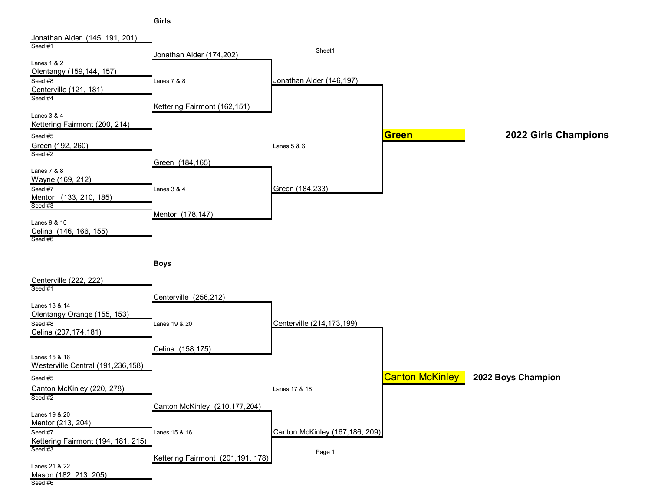**Girls**

| Jonathan Alder (145, 191, 201)               |                                   |                                |                        |                      |
|----------------------------------------------|-----------------------------------|--------------------------------|------------------------|----------------------|
| Seed #1                                      |                                   | Sheet1                         |                        |                      |
| Lanes 1 & 2                                  | Jonathan Alder (174,202)          |                                |                        |                      |
| Olentangy (159,144, 157)                     |                                   |                                |                        |                      |
| Seed $#8$                                    | Lanes 7 & 8                       | Jonathan Alder (146,197)       |                        |                      |
| Centerville (121, 181)                       |                                   |                                |                        |                      |
| Seed #4                                      |                                   |                                |                        |                      |
|                                              | Kettering Fairmont (162,151)      |                                |                        |                      |
| Lanes 3 & 4                                  |                                   |                                |                        |                      |
| Kettering Fairmont (200, 214)                |                                   |                                |                        |                      |
| Seed #5                                      |                                   |                                | <b>Green</b>           | 2022 Girls Champions |
| Green (192, 260)<br>Seed #2                  |                                   | Lanes 5 & 6                    |                        |                      |
|                                              | Green (184,165)                   |                                |                        |                      |
| Lanes 7 & 8                                  |                                   |                                |                        |                      |
| Wayne (169, 212)                             |                                   |                                |                        |                      |
| Seed #7                                      | Lanes 3 & 4                       | Green (184,233)                |                        |                      |
| Mentor (133, 210, 185)                       |                                   |                                |                        |                      |
| Seed #3                                      |                                   |                                |                        |                      |
| Lanes 9 & 10                                 | Mentor (178,147)                  |                                |                        |                      |
| Celina (146, 166, 155)                       |                                   |                                |                        |                      |
| Seed #6                                      |                                   |                                |                        |                      |
|                                              |                                   |                                |                        |                      |
|                                              | <b>Boys</b>                       |                                |                        |                      |
|                                              |                                   |                                |                        |                      |
| Centerville (222, 222)                       |                                   |                                |                        |                      |
| Seed #1                                      |                                   |                                |                        |                      |
|                                              | Centerville (256,212)             |                                |                        |                      |
| Lanes 13 & 14<br>Olentangy Orange (155, 153) |                                   |                                |                        |                      |
| Seed #8                                      | Lanes 19 & 20                     | Centerville (214, 173, 199)    |                        |                      |
| Celina (207,174,181)                         |                                   |                                |                        |                      |
|                                              |                                   |                                |                        |                      |
|                                              | Celina (158,175)                  |                                |                        |                      |
| Lanes 15 & 16                                |                                   |                                |                        |                      |
| Westerville Central (191,236,158)            |                                   |                                |                        |                      |
| Seed #5                                      |                                   |                                | <b>Canton McKinley</b> | 2022 Boys Champion   |
| Canton McKinley (220, 278)                   |                                   | Lanes 17 & 18                  |                        |                      |
| Seed #2                                      |                                   |                                |                        |                      |
| Lanes 19 & 20                                | Canton McKinley (210, 177, 204)   |                                |                        |                      |
| Mentor (213, 204)                            |                                   |                                |                        |                      |
| Seed #7                                      | Lanes 15 & 16                     | Canton McKinley (167,186, 209) |                        |                      |
| Kettering Fairmont (194, 181, 215)           |                                   |                                |                        |                      |
| Seed #3                                      |                                   | Page 1                         |                        |                      |
|                                              | Kettering Fairmont (201,191, 178) |                                |                        |                      |
| Lanes 21 & 22<br>Mason (182, 213, 205)       |                                   |                                |                        |                      |
| Seed #6                                      |                                   |                                |                        |                      |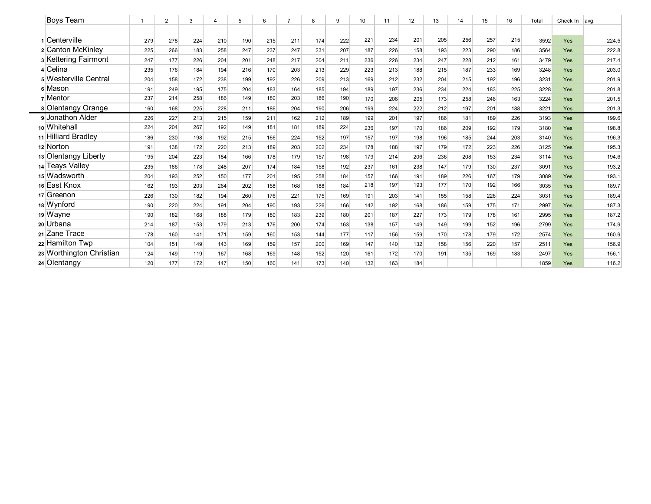| Boys Team                |     | 2   | 3   | 4   | 5   | 6   | $\overline{7}$ | 8   | 9   | 10  | 11  | 12  | 13  | 14  | 15  | 16  | Total | Check In | avg.  |
|--------------------------|-----|-----|-----|-----|-----|-----|----------------|-----|-----|-----|-----|-----|-----|-----|-----|-----|-------|----------|-------|
|                          |     |     |     |     |     |     |                |     |     |     |     |     |     |     |     |     |       |          |       |
| Centerville              | 279 | 278 | 224 | 210 | 190 | 215 | 211            | 174 | 222 | 221 | 234 | 201 | 205 | 256 | 257 | 215 | 3592  | Yes      | 224.5 |
| 2 Canton McKinley        | 225 | 266 | 183 | 258 | 247 | 237 | 247            | 231 | 207 | 187 | 226 | 158 | 193 | 223 | 290 | 186 | 3564  | Yes      | 222.8 |
| 3 Kettering Fairmont     | 247 | 177 | 226 | 204 | 201 | 248 | 217            | 204 | 211 | 236 | 226 | 234 | 247 | 228 | 212 | 161 | 3479  | Yes      | 217.4 |
| 4 Celina                 | 235 | 176 | 184 | 194 | 216 | 170 | 203            | 213 | 229 | 223 | 213 | 188 | 215 | 187 | 233 | 169 | 3248  | Yes      | 203.0 |
| 5 Westerville Central    | 204 | 158 | 172 | 238 | 199 | 192 | 226            | 209 | 213 | 169 | 212 | 232 | 204 | 215 | 192 | 196 | 3231  | Yes      | 201.9 |
| 6 Mason                  | 191 | 249 | 195 | 175 | 204 | 183 | 164            | 185 | 194 | 189 | 197 | 236 | 234 | 224 | 183 | 225 | 3228  | Yes      | 201.8 |
| 7 Mentor                 | 237 | 214 | 258 | 186 | 149 | 180 | 203            | 186 | 190 | 170 | 206 | 205 | 173 | 258 | 246 | 163 | 3224  | Yes      | 201.5 |
| 8 Olentangy Orange       | 160 | 168 | 225 | 228 | 211 | 186 | 204            | 190 | 206 | 199 | 224 | 222 | 212 | 197 | 201 | 188 | 3221  | Yes      | 201.3 |
| 9 Jonathon Alder         | 226 | 227 | 213 | 215 | 159 | 211 | 162            | 212 | 189 | 199 | 201 | 197 | 186 | 181 | 189 | 226 | 3193  | Yes      | 199.6 |
| 10 Whitehall             | 224 | 204 | 267 | 192 | 149 | 181 | 181            | 189 | 224 | 236 | 197 | 170 | 186 | 209 | 192 | 179 | 3180  | Yes      | 198.8 |
| 11 Hilliard Bradley      | 186 | 230 | 198 | 192 | 215 | 166 | 224            | 152 | 197 | 157 | 197 | 198 | 196 | 185 | 244 | 203 | 3140  | Yes      | 196.3 |
| 12 Norton                | 191 | 138 | 172 | 220 | 213 | 189 | 203            | 202 | 234 | 178 | 188 | 197 | 179 | 172 | 223 | 226 | 3125  | Yes      | 195.3 |
| 13 Olentangy Liberty     | 195 | 204 | 223 | 184 | 166 | 178 | 179            | 157 | 198 | 179 | 214 | 206 | 236 | 208 | 153 | 234 | 3114  | Yes      | 194.6 |
| 14 Teays Valley          | 235 | 186 | 178 | 248 | 207 | 174 | 184            | 158 | 192 | 237 | 161 | 238 | 147 | 179 | 130 | 237 | 3091  | Yes      | 193.2 |
| 15 Wadsworth             | 204 | 193 | 252 | 150 | 177 | 201 | 195            | 258 | 184 | 157 | 166 | 191 | 189 | 226 | 167 | 179 | 3089  | Yes      | 193.1 |
| 16 East Knox             | 162 | 193 | 203 | 264 | 202 | 158 | 168            | 188 | 184 | 218 | 197 | 193 | 177 | 170 | 192 | 166 | 3035  | Yes      | 189.7 |
| 17 Greenon               | 226 | 130 | 182 | 194 | 260 | 176 | 221            | 175 | 169 | 191 | 203 | 141 | 155 | 158 | 226 | 224 | 3031  | Yes      | 189.4 |
| 18 Wynford               | 190 | 220 | 224 | 191 | 204 | 190 | 193            | 226 | 166 | 142 | 192 | 168 | 186 | 159 | 175 | 171 | 2997  | Yes      | 187.3 |
| 19 Wayne                 | 190 | 182 | 168 | 188 | 179 | 180 | 183            | 239 | 180 | 201 | 187 | 227 | 173 | 179 | 178 | 161 | 2995  | Yes      | 187.2 |
| 20 Urbana                | 214 | 187 | 153 | 179 | 213 | 176 | 200            | 174 | 163 | 138 | 157 | 149 | 149 | 199 | 152 | 196 | 2799  | Yes      | 174.9 |
| 21 Zane Trace            | 178 | 160 | 141 | 171 | 159 | 160 | 153            | 144 | 177 | 117 | 156 | 159 | 170 | 178 | 179 | 172 | 2574  | Yes      | 160.9 |
| 22 Hamilton Twp          | 104 | 151 | 149 | 143 | 169 | 159 | 157            | 200 | 169 | 147 | 140 | 132 | 158 | 156 | 220 | 157 | 2511  | Yes      | 156.9 |
| 23 Worthington Christian | 124 | 149 | 119 | 167 | 168 | 169 | 148            | 152 | 120 | 161 | 172 | 170 | 191 | 135 | 169 | 183 | 2497  | Yes      | 156.1 |
| 24 Olentangy             | 120 | 177 | 172 | 147 | 150 | 160 | 141            | 173 | 140 | 132 | 163 | 184 |     |     |     |     | 1859  | Yes      | 116.2 |